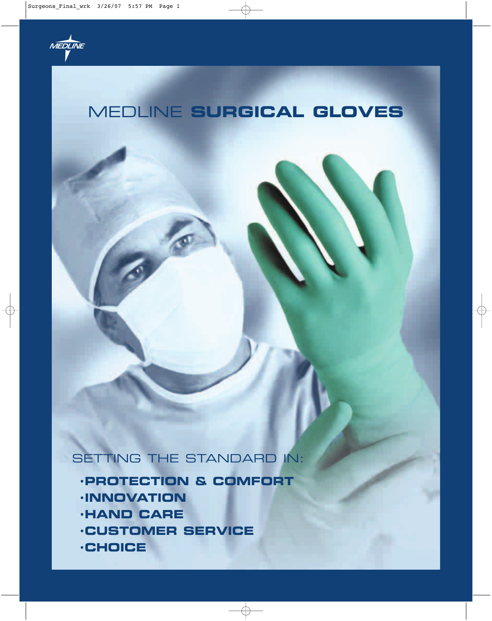

# MEDLINE **SURGICAL GLOVES**

SETTING THE STANDARD IN:

- **·PROTECTION & COMFORT**
- **·INNOVATION**
- **·HAND CARE**
- **·CUSTOMER SERVICE**
- **·CHOICE**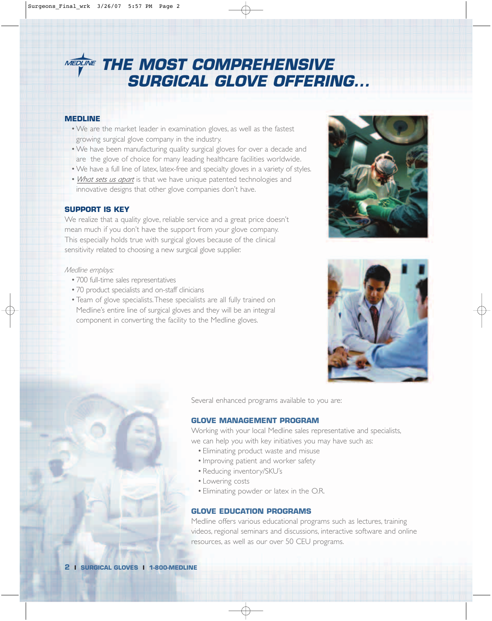# **MEDLINE THE MOST COMPREHENSIVE SURGICAL GLOVE OFFERING...**

### **MEDLINE**

- •We are the market leader in examination gloves, as well as the fastest growing surgical glove company in the industry.
- •We have been manufacturing quality surgical gloves for over a decade and are the glove of choice for many leading healthcare facilities worldwide.
- •We have a full line of latex, latex-free and specialty gloves in a variety of styles.
- •*What sets us apart* is that we have unique patented technologies and innovative designs that other glove companies don't have.

### **SUPPORT IS KEY**

We realize that a quality glove, reliable service and a great price doesn't mean much if you don't have the support from your glove company. This especially holds true with surgical gloves because of the clinical sensitivity related to choosing a new surgical glove supplier.

### *Medline employs:*

- •700 full-time sales representatives
- •70 product specialists and on-staff clinicians
- •Team of glove specialists.These specialists are all fully trained on Medline's entire line of surgical gloves and they will be an integral component in converting the facility to the Medline gloves.





Several enhanced programs available to you are:

### **GLOVE MANAGEMENT PROGRAM**

Working with your local Medline sales representative and specialists, we can help you with key initiatives you may have such as:

- •Eliminating product waste and misuse
- •Improving patient and worker safety
- •Reducing inventory/SKU's
- •Lowering costs
- •Eliminating powder or latex in the O.R.

### **GLOVE EDUCATION PROGRAMS**

Medline offers various educational programs such as lectures, training videos, regional seminars and discussions, interactive software and online resources, as well as our over 50 CEU programs.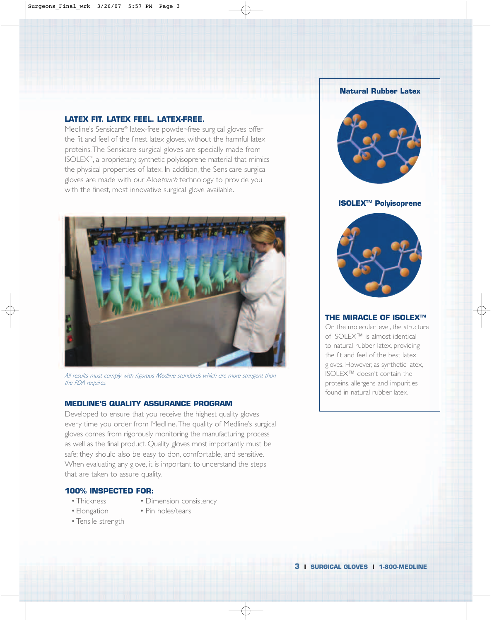### **LATEX FIT. LATEX FEEL. LATEX-FREE.**

Medline's Sensicare® latex-free powder-free surgical gloves offer the fit and feel of the finest latex gloves, without the harmful latex proteins.The Sensicare surgical gloves are specially made from ISOLEX™, a proprietary, synthetic polyisoprene material that mimics the physical properties of latex. In addition, the Sensicare surgical gloves are made with our Aloe*touch* technology to provide you with the finest, most innovative surgical glove available.



*All results must comply with rigorous Medline standards which are more stringent than the FDA requires.*

### **MEDLINE'S QUALITY ASSURANCE PROGRAM**

Developed to ensure that you receive the highest quality gloves every time you order from Medline.The quality of Medline's surgical gloves comes from rigorously monitoring the manufacturing process as well as the final product. Quality gloves most importantly must be safe; they should also be easy to don, comfortable, and sensitive. When evaluating any glove, it is important to understand the steps that are taken to assure quality.

### **100% INSPECTED FOR:**

- Thickness Dimension consistency
- Elongation Pin holes/tears
- 
- •Tensile strength



**ISOLEX™ Polyisoprene**



### **THE MIRACLE OF ISOLEX™**

On the molecular level, the structure of ISOLEX™ is almost identical to natural rubber latex, providing the fit and feel of the best latex gloves. However, as synthetic latex, ISOLEX™ doesn't contain the proteins, allergens and impurities found in natural rubber latex.

**3 I SURGICAL GLOVES I 1-800-MEDLINE**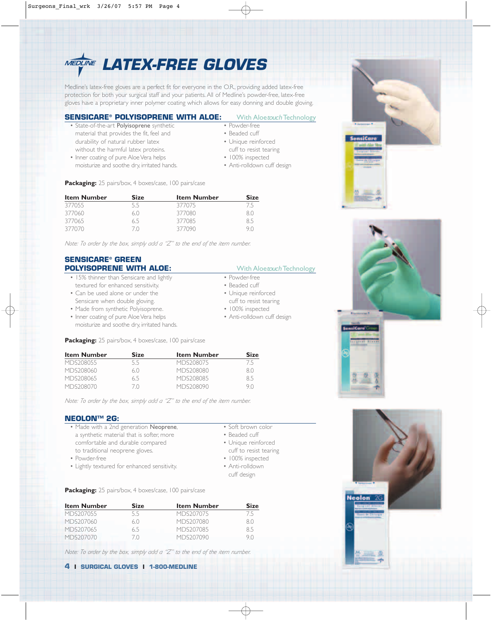

Medline's latex-free gloves are a perfect fit for everyone in the O.R., providing added latex-free protection for both your surgical staff and your patients. All of Medline's powder-free, latex-free gloves have a proprietary inner polymer coating which allows for easy donning and double gloving.

### **SENSICARE® POLYISOPRENE WITH ALOE:** With Aloetouch Technology

- State-of-the-art Polyisoprene synthetic material that provides the fit, feel and durability of natural rubber latex without the harmful latex proteins. • Inner coating of pure Aloe Vera helps
- moisturize and soothe dry, irritated hands.

**Packaging:** 25 pairs/box, 4 boxes/case, 100 pairs/case

| <b>Item Number</b> | <b>Size</b> | <b>Item Number</b> | <b>Size</b> |  |
|--------------------|-------------|--------------------|-------------|--|
| 377055             | 5.5         | 377075             | 75          |  |
| 377060             | 6()         | 377080             | 80          |  |
| 377065             | 6.5         | 377085             | 85          |  |
| 377070             |             | 377090             | 90          |  |

*Note: To order by the box, simply add a "Z" to the end of the item number.*

## **SENSICARE® GREEN**

- 15% thinner than Sensicare and lightly textured for enhanced sensitivity.
- Can be used alone or under the Sensicare when double gloving.
- Made from synthetic Polyisoprene.
- Inner coating of pure Aloe Vera helps moisturize and soothe dry, irritated hands.

**Packaging:** 25 pairs/box, 4 boxes/case, 100 pairs/case

| <b>Item Number</b> | <b>Size</b> | <b>Item Number</b> | <b>Size</b> |
|--------------------|-------------|--------------------|-------------|
| MDS208055          | 5.5         | MDS208075          | /5          |
| MDS208060          | 6()         | MDS208080          | 8()         |
| MDS208065          | 65          | MDS208085          | 85          |
| MDS208070          |             | MDS208090          | 9 N         |

*Note: To order by the box, simply add a "Z" to the end of the item number.*

### **NEOLON™ 2G:**

- Made with a 2nd generation **Neoprene**, a synthetic material that is softer, more comfortable and durable compared to traditional neoprene gloves.
- Powder-free
- Lightly textured for enhanced sensitivity.

• Soft brown color • Beaded cuff

- Unique reinforced
- cuff to resist tearing
- 100% inspected • Anti-rolldown
	- cuff design

**Packaging:** 25 pairs/box, 4 boxes/case, 100 pairs/case

| <b>Item Number</b> | <b>Size</b> | <b>Item Number</b> | <b>Size</b> |
|--------------------|-------------|--------------------|-------------|
| MDS207055          | 55          | MDS207075          | 75          |
| MDS207060          | 6()         | MDS207080          | 80          |
| MDS207065          | 65          | MDS207085          | 85          |
| MDS207070          |             | MDS207090          | 9 N         |

*Note: To order by the box, simply add a "Z" to the end of the item number.*



- Powder-free • Beaded cuff
- Unique reinforced
- cuff to resist tearing
- 100% inspected
- Anti-rolldown cuff design

- **POLYISOPRENE WITH ALOE:** With Aloetouch Technology
	- Powder-free
		- Beaded cuff
	- Unique reinforced cuff to resist tearing
	- 100% inspected
	- Anti-rolldown cuff design



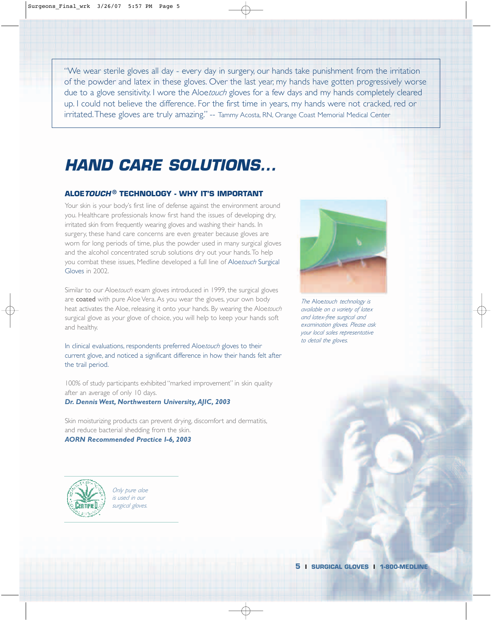"We wear sterile gloves all day - every day in surgery, our hands take punishment from the irritation of the powder and latex in these gloves. Over the last year, my hands have gotten progressively worse due to a glove sensitivity. I wore the Aloe*touch* gloves for a few days and my hands completely cleared up. I could not believe the difference. For the first time in years, my hands were not cracked, red or irritated.These gloves are truly amazing." -- Tammy Acosta, RN, Orange Coast Memorial Medical Center

# **HAND CARE SOLUTIONS...**

### **ALOETOUCH ® TECHNOLOGY - WHY IT'S IMPORTANT**

Your skin is your body's first line of defense against the environment around you. Healthcare professionals know first hand the issues of developing dry, irritated skin from frequently wearing gloves and washing their hands. In surgery, these hand care concerns are even greater because gloves are worn for long periods of time, plus the powder used in many surgical gloves and the alcohol concentrated scrub solutions dry out your hands.To help you combat these issues, Medline developed a full line of Aloe*touch* Surgical Gloves in 2002.

Similar to our Aloe*touch* exam gloves introduced in 1999, the surgical gloves are coated with pure Aloe Vera. As you wear the gloves, your own body heat activates the Aloe, releasing it onto your hands. By wearing the Aloe*touch* surgical glove as your glove of choice, you will help to keep your hands soft and healthy.

In clinical evaluations, respondents preferred Aloe*touch* gloves to their current glove, and noticed a significant difference in how their hands felt after the trail period.

100% of study participants exhibited "marked improvement" in skin quality after an average of only 10 days. *Dr. Dennis West, Northwestern University,AJIC, 2003*

Skin moisturizing products can prevent drying, discomfort and dermatitis, and reduce bacterial shedding from the skin.

### *AORN Recommended Practice I-6, 2003*

*Only pure aloe is used in our surgical gloves.*



*The* Aloe*touch technology is available on a variety of latex and latex-free surgical and examination gloves. Please ask your local sales representative to detail the gloves.*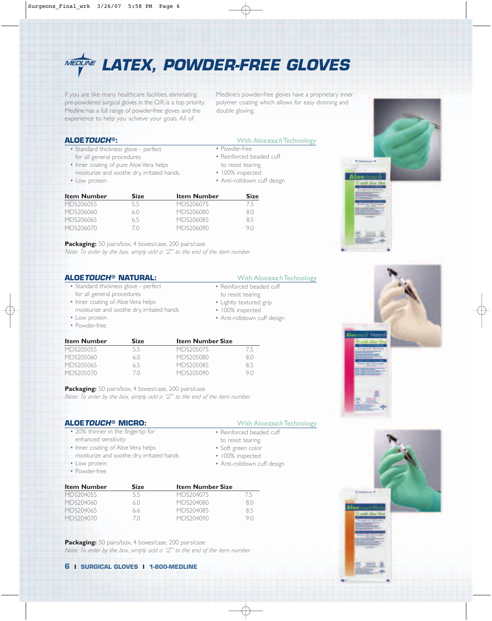

If you are like many healthcare facilities, eliminating pre-powdered surgical gloves in the O.R. is a top priority. Medline has a full range of powder-free gloves and the experience to help you achieve your goals. All of

Medline's powder-free gloves have a proprietary inner polymer coating which allows for easy donning and double gloving.

- Standard thickness glove perfect for all general procedures
- Inner coating of pure Aloe Vera helps moisturize and soothe dry, irritated hands.
- Low protein

### **ALOE TOUCH®:** With Aloetouch Technology

• Powder-free

- Reinforced beaded cuff
- to resist tearing
- 100% inspected
- Anti-rolldown cuff design

| <b>Item Number</b> | Size | <b>Item Number</b> | <b>Size</b> |
|--------------------|------|--------------------|-------------|
| MDS206055          | 55   | MDS206075          | /5          |
| MDS206060          | 61   | MDS206080          | 8()         |
| MDS206065          | 65   | MDS206085          | 85          |
| MDS206070          |      | MDS206090          | 9 N         |

**Packaging:** 50 pairs/box, 4 boxes/case, 200 pairs/case *Note: To order by the box, simply add a "Z" to the end of the item number.*

### **ALOE TOUCH<sup>®</sup> NATURAL:** With Aloetouch Technology

- Standard thickness glove perfect for all general procedures
- Inner coating of Aloe Vera helps
- moisturize and soothe dry, irritated hands
- Low protein
- Powder-free

- Reinforced beaded cuff
- to resist tearing
- Lightly textured grip
- 100% inspected
- Anti-rolldown cuff design

| <b>Item Number</b> | <b>Size</b> | <b>Item Number Size</b> |     |
|--------------------|-------------|-------------------------|-----|
| MDS205055          | 5.5         | MDS205075               | / 5 |
| MDS205060          | 6()         | MDS205080               | 80  |
| MDS205065          | 6.5         | MDS205085               | 85  |
| MDS205070          | ( )         | MDS205090               | 91  |

**Packaging:** 50 pairs/box, 4 boxes/case, 200 pairs/case *Note: To order by the box, simply add a "Z" to the end of the item number.*

### **ALOE TOUCH<sup>®</sup> MICRO:** With Aloetouch Technology

- 20% thinner in the fingertip for enhanced sensitivity
- Inner coating of Aloe Vera helps moisturize and soothe dry, irritated hands
- Low protein
- Powder-free

| <b>Item Number</b> | <b>Size</b> | <b>Item Number Size</b> |     |
|--------------------|-------------|-------------------------|-----|
| MDS204055          | 5.5         | MDS204075               | /5  |
| MDS204060          | 6()         | MDS204080               | R() |
| MDS204065          | 66          | MDS204085               | ЯЬ  |
| MDS204070          | $($ $($ $)$ | MDS204090               |     |

Packaging: 50 pairs/box, 4 boxes/case, 200 pairs/case *Note: To order by the box, simply add a "Z" to the end of the item number.*

### **6 I SURGICAL GLOVES I 1-800-MEDLINE**

- Reinforced beaded cuff
- to resist tearing
- Soft green color
- 100% inspected
- Anti-rolldown cuff design



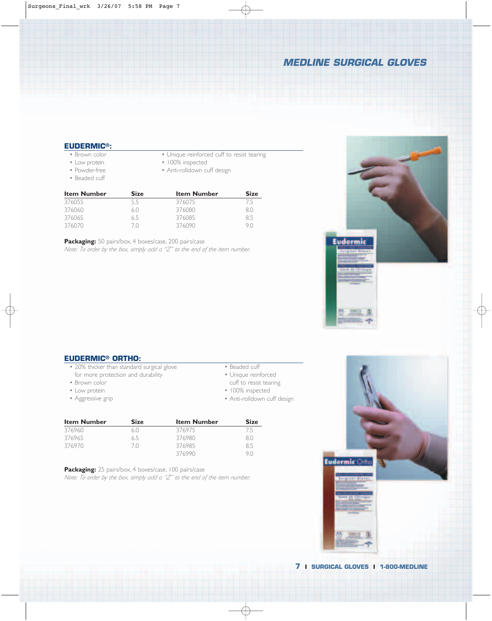## **MEDLINE SURGICAL GLOVES**

### **EUDERMIC®:**

- Brown color
- Low protein
- Powder-free
- Beaded cuff
- Unique reinforced cuff to resist tearing
- 100% inspected
- Anti-rolldown cuff design

| <b>Item Number</b> | <b>Size</b> | <b>Item Number</b> | <b>Size</b> |  |
|--------------------|-------------|--------------------|-------------|--|
| 376055             | 5.5         | 376075             | 75          |  |
| 376060             | 6()         | 376080             | 80          |  |
| 376065             | 6.5         | 376085             | 85          |  |
| 376070             |             | 376090             |             |  |

**Packaging:** 50 pairs/box, 4 boxes/case, 200 pairs/case *Note: To order by the box, simply add a "Z" to the end of the item number.*



### **EUDERMIC® ORTHO:**

- 20% thicker than standard surgical glove for more protection and durability
- Brown color
- Low protein
- Aggressive grip
- Beaded cuff
- Unique reinforced
- cuff to resist tearing
- 100% inspected
- Anti-rolldown cuff design

| <b>Item Number</b> | <b>Size</b> | <b>Item Number</b> | <b>Size</b> |
|--------------------|-------------|--------------------|-------------|
| 376960             | 6()         | 376975             | 75          |
| 376965             | 6.5         | 376980             | 80          |
| 376970             | 7Λ          | 376985             | 85          |
|                    |             | 376990             | 9 N         |

**Packaging:** 25 pairs/box, 4 boxes/case, 100 pairs/case *Note: To order by the box, simply add a "Z" to the end of the item number.* Eudermic Ortho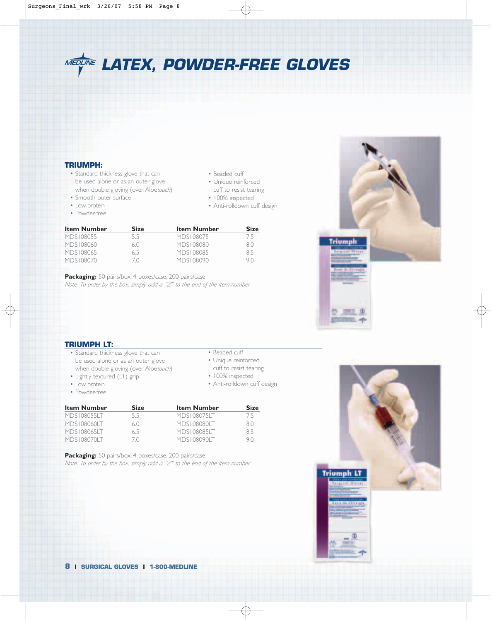**MEDLINE LATEX, POWDER-FREE GLOVES** 

### **TRIUMPH:**

- Standard thickness glove that can be used alone or as an outer glove when double gloving (over Aloe*touch*)
- Smooth outer surface
- Low protein
- Powder-free
- Beaded cuff
- Unique reinforced cuff to resist tearing
- 100% inspected
- Anti-rolldown cuff design

| <b>Item Number</b> | Size | <b>Item Number</b> | <b>Size</b> |
|--------------------|------|--------------------|-------------|
| MDS108055          | 55   | MDS108075          | /5          |
| MDS108060          | 6()  | MDS108080          | 80          |
| MDS108065          | 65   | MDS108085          | 85          |
| MDS108070          |      | MDS108090          | 9 N         |

Packaging: 50 pairs/box, 4 boxes/case, 200 pairs/case *Note: To order by the box, simply add a "Z" to the end of the item number.*



### **TRIUMPH LT:**

- Standard thickness glove that can be used alone or as an outer glove when double gloving (over Aloe*touch*)
- Lightly textured (LT) grip
- Low protein
- Powder-free

| seaded c |  |
|----------|--|
|          |  |

- Unique reinforced
- cuff to resist tearing
- 100% inspected
- Anti-rolldown cuff design

| <b>Item Number</b> | <b>Size</b> | <b>Item Number</b> | <b>Size</b> |
|--------------------|-------------|--------------------|-------------|
| MDS1080551T        | 55          | MDS1080751T        | 75          |
| MDS1080601T        | 6(1)        | MDS108080LT        | 80          |
| MDS1080651T        | 65          | MDS1080851T        | 85          |
| MDS 1080701 T      |             | MDS108090LT        | 9 N         |

**Packaging:** 50 pairs/box, 4 boxes/case, 200 pairs/case *Note: To order by the box, simply add a "Z" to the end of the item number.*

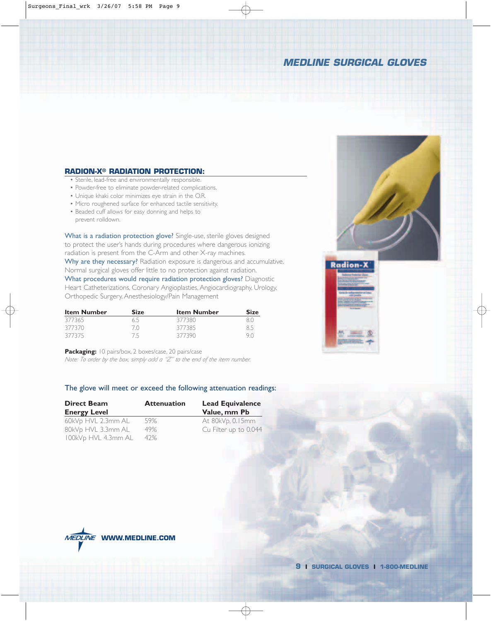## **MEDLINE SURGICAL GLOVES**

### **RADION-X® RADIATION PROTECTION:**

- Sterile, lead-free and environmentally responsible.
- Powder-free to eliminate powder-related complications.
- Unique khaki color minimizes eye strain in the O.R.
- Micro roughened surface for enhanced tactile sensitivity.
- Beaded cuff allows for easy donning and helps to prevent rolldown.

What is a radiation protection glove? Single-use, sterile gloves designed to protect the user's hands during procedures where dangerous ionizing radiation is present from the C-Arm and other X-ray machines. Why are they necessary? Radiation exposure is dangerous and accumulative. Normal surgical gloves offer little to no protection against radiation. What procedures would require radiation protection gloves? Diagnostic

Heart Catheterizations, Coronary Angioplasties, Angiocardiography, Urology, Orthopedic Surgery, Anesthesiology/Pain Management

| <b>Item Number</b> | <b>Size</b> | <b>Item Number</b> | <b>Size</b> |
|--------------------|-------------|--------------------|-------------|
| 377365             | 65          | 377380             | 80          |
| 377370             | 70.         | 377385             | 8.5         |
| 377375             | 75          | 377390             | 90          |

**Packaging:** 10 pairs/box, 2 boxes/case, 20 pairs/case

*Note: To order by the box, simply add a "Z" to the end of the item number.*

### The glove will meet or exceed the following attenuation readings:

| <b>Direct Beam</b>  | <b>Attenuation</b> | <b>Lead Equivalence</b> |  |  |  |
|---------------------|--------------------|-------------------------|--|--|--|
| <b>Energy Level</b> |                    | Value, mm Pb            |  |  |  |
| 60kVp HVL 2.3mm AL  | 59%                | At 80kVp, 0.15mm        |  |  |  |
| 80kVp HVL 3.3mm AL  | 49%                | Cu Filter up to 0.044   |  |  |  |
| 100kVp HVL 4.3mm AL | 42%                |                         |  |  |  |





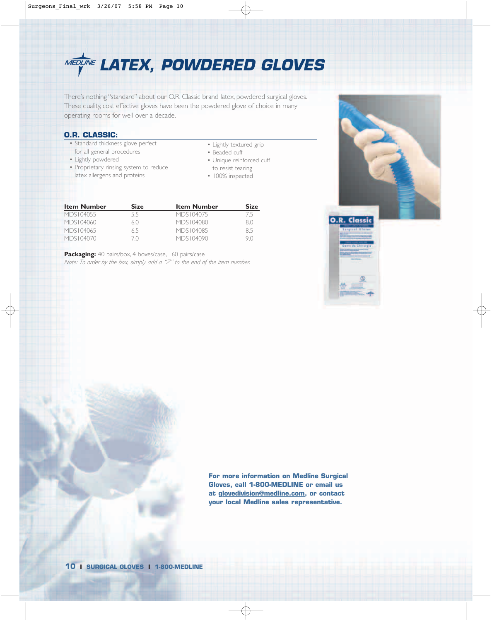

There's nothing "standard" about our O.R. Classic brand latex, powdered surgical gloves. These quality, cost effective gloves have been the powdered glove of choice in many operating rooms for well over a decade.

### **O.R. CLASSIC:**

- Standard thickness glove perfect for all general procedures
- Lightly powdered
- Proprietary rinsing system to reduce latex allergens and proteins
- Lightly textured grip
- Beaded cuff
- Unique reinforced cuff
- to resist tearing
- 100% inspected

| <b>Item Number</b> | <b>Size</b> | <b>Item Number</b> | <b>Size</b> |
|--------------------|-------------|--------------------|-------------|
| MDS104055          | 55          | MDS104075          | /5          |
| MDS104060          | 6()         | MDS104080          | 8.0         |
| MDS104065          | 65          | MDS104085          | 8.5         |
| MDS104070          | 7 N         | MDS104090          | 9 N         |

Packaging: 40 pairs/box, 4 boxes/case, 160 pairs/case *Note: To order by the box, simply add a "Z" to the end of the item number.*



**For more information on Medline Surgical Gloves, call 1-800-MEDLINE or email us at glovedivision@medline.com, or contact your local Medline sales representative.**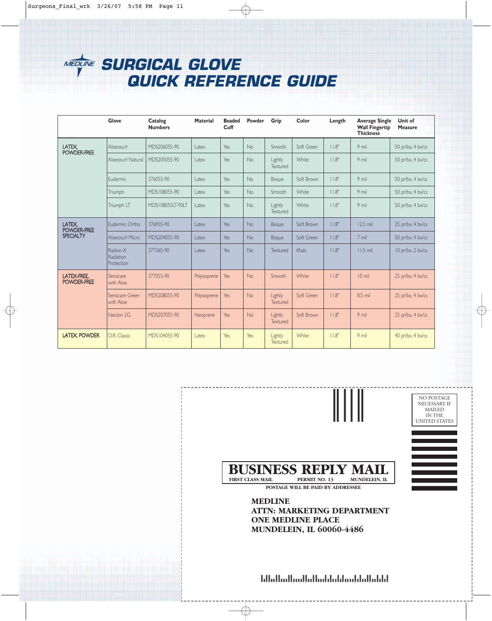# **SURGICAL GLOVE QUICK REFERENCE GUIDE**

|                            | Glove                               | Catalog<br><b>Numbers</b> | <b>Material</b> | <b>Beaded</b><br>Cuff | Powder    | Grip                | Color        | Length | <b>Average Single</b><br><b>Wall Fingertip</b><br><b>Thickness</b> | Unit of<br><b>Measure</b> |
|----------------------------|-------------------------------------|---------------------------|-----------------|-----------------------|-----------|---------------------|--------------|--------|--------------------------------------------------------------------|---------------------------|
| LATEX,<br>POWDER-FREE      | Aloetouch                           | MDS206055-90              | Latex           | Yes                   | No        | Smooth              | Soft Green   | 11.8"  | 9 mil                                                              | 50 pr/bx, 4 bx/cs         |
|                            | Aloetouch Natural                   | MDS205055-90              | Latex           | Yes                   | <b>No</b> | Lightly<br>Textured | White        | 11.8"  | 9 mil                                                              | 50 pr/bx, 4 bx/cs         |
|                            | <b>Fudermic</b>                     | 376055-90                 | Latex           | Yes                   | <b>No</b> | Bisque              | Soft Brown   | 11.8"  | 9 mil                                                              | 50 pr/bx, 4 bx/cs         |
|                            | Triumph                             | MDS108055-90              | Latex           | Yes                   | <b>No</b> | Smooth              | <b>White</b> | 11.8"  | 9 mil                                                              | 50 pr/bx, 4 bx/cs         |
|                            | Triumph LT                          | MDS108055LT-90LT          | Latex           | Yes                   | <b>No</b> | Lightly<br>Textured | White        | 11.8"  | 9 mil                                                              | 50 pr/bx, 4 bx/cs         |
| LATEX,<br>POWDER-FREE      | Eudermic Ortho                      | 376955-90                 | Latex           | Yes                   | <b>No</b> | Bisque              | Soft Brown   | 11.8"  | $12.5$ mil                                                         | 25 pr/bx, 4 bx/cs         |
| <b>SPECIALTY</b>           | Algetouch Micro                     | MDS204055-90              | Latex           | Yes                   | No        | <b>Bisque</b>       | Soft Green   | 11.8"  | 7 mil                                                              | 50 pr/bx, 4 bx/cs         |
|                            | Radion-X<br>Radiation<br>Protection | 377365-90                 | Latex           | Yes                   | <b>No</b> | Textured            | Khaki        | 11.8"  | $11.5$ mil                                                         | 10 pr/bx, 2 bx/cs         |
| LATEX-FREE,<br>POWDER-FREE | Sensicare<br>with Aloe              | 377055-90                 | Polyisoprene    | Yes                   | <b>No</b> | Smooth              | <b>White</b> | 11.8"  | $10$ mil                                                           | 25 pr/bx, 4 bx/cs         |
|                            | Sensicare Green<br>with Aloe        | MDS208055-90              | Polyisoprene    | Yes                   | <b>No</b> | Lightly<br>Textured | Soft Green   | 11.8"  | 8.5 mil                                                            | 25 pr/bx, 4 bx/cs         |
|                            | Neolon 2G                           | MDS207055-90              | Neoprene        | Yes                   | <b>No</b> | Lightly<br>Textured | Soft Brown   | 11.8"  | 9 mil                                                              | 25 pr/bx, 4 bx/cs         |
| <b>LATEX, POWDER</b>       | O.R. Classic                        | MDS104055-90              | Latex           | Yes                   | Yes       | Lightly<br>Textured | White        | 11.8"  | 9 mil                                                              | 40 pr/bx, 4 bx/cs         |

║║║ NO POSTAGE NECESSARY IF MAILED IN THE UNITED STATES **BUSINESS REPLY MAIL**<br>FIRST CLASS MAIL PERMIT NO. 13 MUNDELEIN, IL **FIRST CLASS MAIL POSTAGE WILL BE PAID BY ADDRESSEE MEDLINE ATTN: MARKETING DEPARTMENT ONE MEDLINE PLACE MUNDELEIN, IL 60060-4486**

hlialladhadlabahhahhanhallahhl